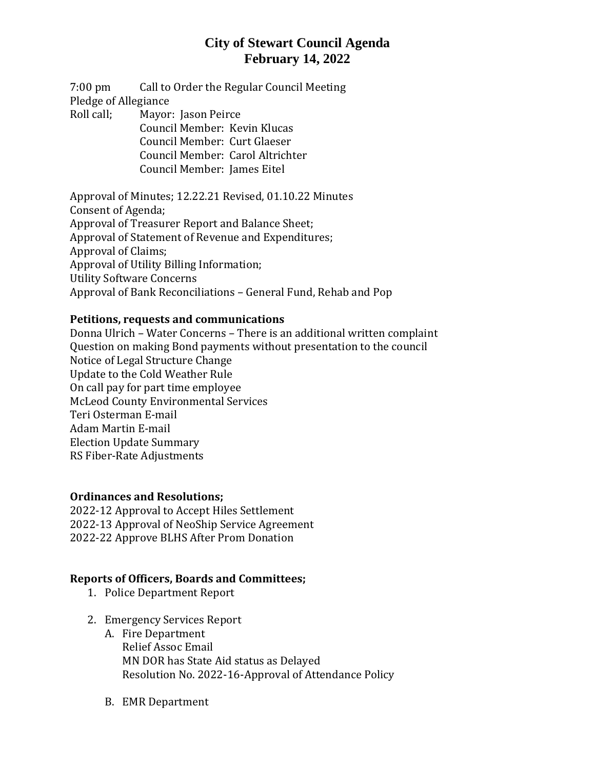# **City of Stewart Council Agenda February 14, 2022**

7:00 pm Call to Order the Regular Council Meeting Pledge of Allegiance Roll call; Mayor: Jason Peirce Council Member: Kevin Klucas Council Member: Curt Glaeser

Council Member: Carol Altrichter Council Member: James Eitel

Approval of Minutes; 12.22.21 Revised, 01.10.22 Minutes Consent of Agenda; Approval of Treasurer Report and Balance Sheet; Approval of Statement of Revenue and Expenditures; Approval of Claims; Approval of Utility Billing Information; Utility Software Concerns Approval of Bank Reconciliations – General Fund, Rehab and Pop

#### **Petitions, requests and communications**

Donna Ulrich – Water Concerns – There is an additional written complaint Question on making Bond payments without presentation to the council Notice of Legal Structure Change Update to the Cold Weather Rule On call pay for part time employee McLeod County Environmental Services Teri Osterman E-mail Adam Martin E-mail Election Update Summary RS Fiber-Rate Adjustments

#### **Ordinances and Resolutions;**

2022-12 Approval to Accept Hiles Settlement 2022-13 Approval of NeoShip Service Agreement 2022-22 Approve BLHS After Prom Donation

### **Reports of Officers, Boards and Committees;**

- 1. Police Department Report
- 2. Emergency Services Report
	- A. Fire Department Relief Assoc Email MN DOR has State Aid status as Delayed Resolution No. 2022-16-Approval of Attendance Policy
	- B. EMR Department